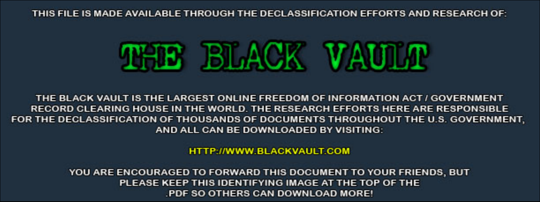THIS FILE IS MADE AVAILABLE THROUGH THE DECLASSIFICATION EFFORTS AND RESEARCH OF:



THE BLACK VAULT IS THE LARGEST ONLINE FREEDOM OF INFORMATION ACT / GOVERNMENT RECORD CLEARING HOUSE IN THE WORLD. THE RESEARCH EFFORTS HERE ARE RESPONSIBLE FOR THE DECLASSIFICATION OF THOUSANDS OF DOCUMENTS THROUGHOUT THE U.S. GOVERNMENT, AND ALL CAN BE DOWNLOADED BY VISITING:

**HTTP://WWW.BLACKVAULT.COM** 

YOU ARE ENCOURAGED TO FORWARD THIS DOCUMENT TO YOUR FRIENDS, BUT PLEASE KEEP THIS IDENTIFYING IMAGE AT THE TOP OF THE PDF SO OTHERS CAN DOWNLOAD MORE!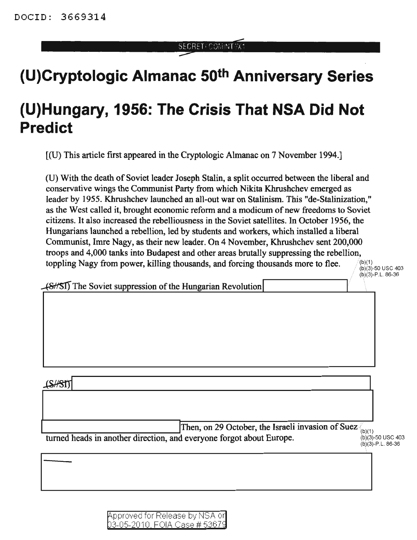SECRET/COMINITYX1

## **(U)Cryptologic Almanac 50th Anniversary Series**

## **(U)Hungary, 1956: The Crisis That NSA Did Not Predict**

[(U) This article first appeared in the Cryptologic Almanac on 7 November 1994.]

(U) With the death of Soviet leader Joseph Stalin, a split occurred between the liberal and conservative wings the Communist Party from which Nikita Khrushchev emerged as leader by 1955. Khrushchev launched an all-out war on Stalinism. This "de-Stalinization," as the West called it, brought economic reform and a modicum of new freedoms to Soviet citizens. It also increased the rebelliousness in the Soviet satellites. In October 1956, the Hungarians launched a rebellion, led by students and workers, which installed a liberal Communist, Imre Nagy, as their new leader. On 4 November, Khrushchev sent 200,000 troops and 4,000 tanks into Budapest and other areas brutally suppressing the rebellion, toppling Nagy from power, killing thousands, and forcing thousands more to flee.  $\binom{(b)(1)}{(b)(3)-50}$  usc 403

 $(b)(3) - P.L.86-36$ 

 $(8/5)$  The Soviet suppression of the Hungarian Revolution

**ISHSTT** 

Then, on 29 October, the Israeli invasion of Suez  $\int_{(b)(1)}$ turned heads in another direction, and everyone forgot about Europe. (b)(3)-50 USC 403

(b)(3)-P.L.86-36

I

| Approved for Release by NSA or       |  |  |
|--------------------------------------|--|--|
| <u>03-05-2010, FOIA Case # 53679</u> |  |  |